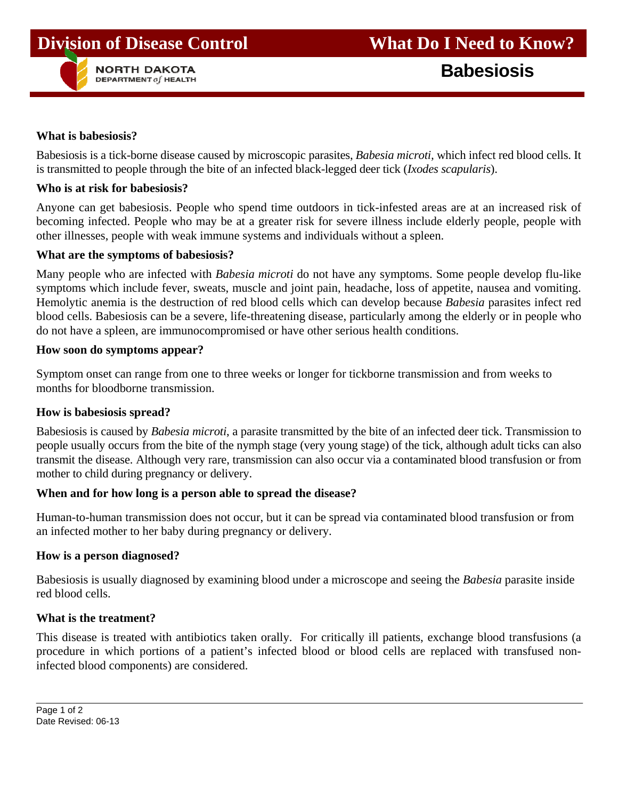# **Division of Disease Control What Do I Need to Know?**



#### **What is babesiosis?**

Babesiosis is a tick-borne disease caused by microscopic parasites, *Babesia microti,* which infect red blood cells. It is transmitted to people through the bite of an infected black-legged deer tick (*Ixodes scapularis*).

#### **Who is at risk for babesiosis?**

Anyone can get babesiosis. People who spend time outdoors in tick-infested areas are at an increased risk of becoming infected. People who may be at a greater risk for severe illness include elderly people, people with other illnesses, people with weak immune systems and individuals without a spleen.

#### **What are the symptoms of babesiosis?**

Many people who are infected with *Babesia microti* do not have any symptoms. Some people develop flu-like symptoms which include fever, sweats, muscle and joint pain, headache, loss of appetite, nausea and vomiting. Hemolytic anemia is the destruction of red blood cells which can develop because *Babesia* parasites infect red blood cells. Babesiosis can be a severe, life-threatening disease, particularly among the elderly or in people who do not have a spleen, are immunocompromised or have other serious health conditions.

#### **How soon do symptoms appear?**

Symptom onset can range from one to three weeks or longer for tickborne transmission and from weeks to months for bloodborne transmission.

#### **How is babesiosis spread?**

Babesiosis is caused by *Babesia microti*, a parasite transmitted by the bite of an infected deer tick. Transmission to people usually occurs from the bite of the nymph stage (very young stage) of the tick, although adult ticks can also transmit the disease. Although very rare, transmission can also occur via a contaminated blood transfusion or from mother to child during pregnancy or delivery.

## **When and for how long is a person able to spread the disease?**

Human-to-human transmission does not occur, but it can be spread via contaminated blood transfusion or from an infected mother to her baby during pregnancy or delivery.

#### **How is a person diagnosed?**

Babesiosis is usually diagnosed by examining blood under a microscope and seeing the *Babesia* parasite inside red blood cells.

#### **What is the treatment?**

This disease is treated with antibiotics taken orally. For critically ill patients, exchange blood transfusions (a procedure in which portions of a patient's infected blood or blood cells are replaced with transfused noninfected blood components) are considered.